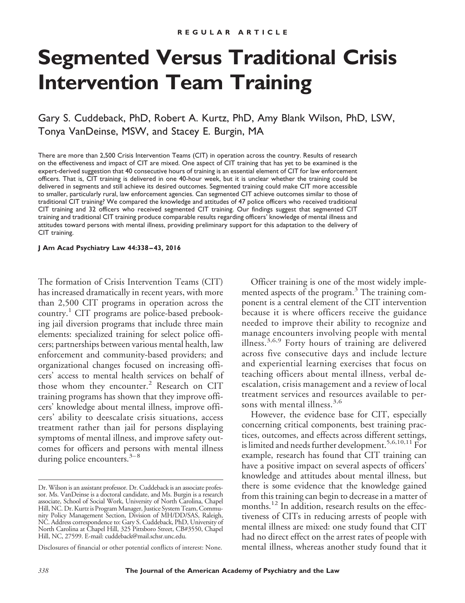# **Segmented Versus Traditional Crisis Intervention Team Training**

# Gary S. Cuddeback, PhD, Robert A. Kurtz, PhD, Amy Blank Wilson, PhD, LSW, Tonya VanDeinse, MSW, and Stacey E. Burgin, MA

There are more than 2,500 Crisis Intervention Teams (CIT) in operation across the country. Results of research on the effectiveness and impact of CIT are mixed. One aspect of CIT training that has yet to be examined is the expert-derived suggestion that 40 consecutive hours of training is an essential element of CIT for law enforcement officers. That is, CIT training is delivered in one 40-hour week, but it is unclear whether the training could be delivered in segments and still achieve its desired outcomes. Segmented training could make CIT more accessible to smaller, particularly rural, law enforcement agencies. Can segmented CIT achieve outcomes similar to those of traditional CIT training? We compared the knowledge and attitudes of 47 police officers who received traditional CIT training and 32 officers who received segmented CIT training. Our findings suggest that segmented CIT training and traditional CIT training produce comparable results regarding officers' knowledge of mental illness and attitudes toward persons with mental illness, providing preliminary support for this adaptation to the delivery of CIT training.

**J Am Acad Psychiatry Law 44:338 – 43, 2016**

The formation of Crisis Intervention Teams (CIT) has increased dramatically in recent years, with more than 2,500 CIT programs in operation across the country.<sup>1</sup> CIT programs are police-based prebooking jail diversion programs that include three main elements: specialized training for select police officers; partnerships between various mental health, law enforcement and community-based providers; and organizational changes focused on increasing officers' access to mental health services on behalf of those whom they encounter.<sup>2</sup> Research on CIT training programs has shown that they improve officers' knowledge about mental illness, improve officers' ability to deescalate crisis situations, access treatment rather than jail for persons displaying symptoms of mental illness, and improve safety outcomes for officers and persons with mental illness during police encounters.<sup>3-8</sup>

Disclosures of financial or other potential conflicts of interest: None.

Officer training is one of the most widely implemented aspects of the program. $3$  The training component is a central element of the CIT intervention because it is where officers receive the guidance needed to improve their ability to recognize and manage encounters involving people with mental illness.3,6,9 Forty hours of training are delivered across five consecutive days and include lecture and experiential learning exercises that focus on teaching officers about mental illness, verbal deescalation, crisis management and a review of local treatment services and resources available to persons with mental illness.<sup>3,6</sup>

However, the evidence base for CIT, especially concerning critical components, best training practices, outcomes, and effects across different settings, is limited and needs further development.<sup>5,6,10,11</sup> For example, research has found that CIT training can have a positive impact on several aspects of officers' knowledge and attitudes about mental illness, but there is some evidence that the knowledge gained from this training can begin to decrease in a matter of months.<sup>12</sup> In addition, research results on the effectiveness of CITs in reducing arrests of people with mental illness are mixed: one study found that CIT had no direct effect on the arrest rates of people with mental illness, whereas another study found that it

Dr. Wilson is an assistant professor. Dr. Cuddeback is an associate professor. Ms. VanDeinse is a doctoral candidate, and Ms. Burgin is a research associate, School of Social Work, University of North Carolina, Chapel Hill, NC. Dr. Kurtz is Program Manager, Justice System Team, Community Policy Management Section, Division of MH/DD/SAS, Raleigh, NC. Address correspondence to: Gary S. Cuddeback, PhD, University of North Carolina at Chapel Hill, 325 Pittsboro Street, CB#3550, Chapel Hill, NC, 27599. E-mail: [cuddeback@mail.schsr.unc.edu.](mailto:cuddebackmail.schsr.unc.edu)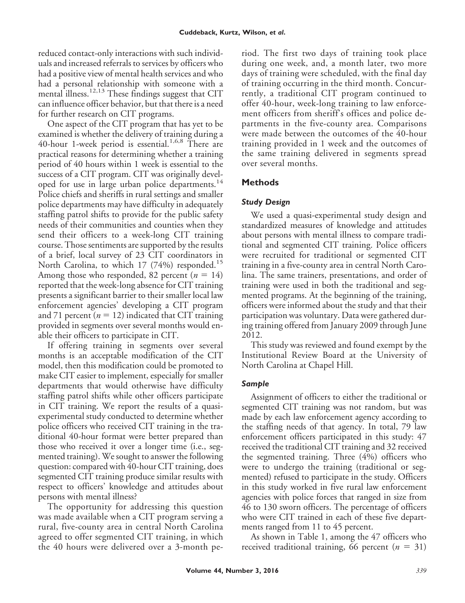reduced contact-only interactions with such individuals and increased referrals to services by officers who had a positive view of mental health services and who had a personal relationship with someone with a mental illness.12,13 These findings suggest that CIT can influence officer behavior, but that there is a need for further research on CIT programs.

One aspect of the CIT program that has yet to be examined is whether the delivery of training during a 40-hour 1-week period is essential.<sup>1,6,8</sup> There are practical reasons for determining whether a training period of 40 hours within 1 week is essential to the success of a CIT program. CIT was originally developed for use in large urban police departments.<sup>14</sup> Police chiefs and sheriffs in rural settings and smaller police departments may have difficulty in adequately staffing patrol shifts to provide for the public safety needs of their communities and counties when they send their officers to a week-long CIT training course. Those sentiments are supported by the results of a brief, local survey of 23 CIT coordinators in North Carolina, to which 17 (74%) responded.<sup>15</sup> Among those who responded, 82 percent  $(n = 14)$ reported that the week-long absence for CIT training presents a significant barrier to their smaller local law enforcement agencies' developing a CIT program and 71 percent ( $n = 12$ ) indicated that CIT training provided in segments over several months would enable their officers to participate in CIT.

If offering training in segments over several months is an acceptable modification of the CIT model, then this modification could be promoted to make CIT easier to implement, especially for smaller departments that would otherwise have difficulty staffing patrol shifts while other officers participate in CIT training. We report the results of a quasiexperimental study conducted to determine whether police officers who received CIT training in the traditional 40-hour format were better prepared than those who received it over a longer time (i.e., segmented training). We sought to answer the following question: compared with 40-hour CIT training, does segmented CIT training produce similar results with respect to officers' knowledge and attitudes about persons with mental illness?

The opportunity for addressing this question was made available when a CIT program serving a rural, five-county area in central North Carolina agreed to offer segmented CIT training, in which the 40 hours were delivered over a 3-month period. The first two days of training took place during one week, and, a month later, two more days of training were scheduled, with the final day of training occurring in the third month. Concurrently, a traditional CIT program continued to offer 40-hour, week-long training to law enforcement officers from sheriff's offices and police departments in the five-county area. Comparisons were made between the outcomes of the 40-hour training provided in 1 week and the outcomes of the same training delivered in segments spread over several months.

## **Methods**

## *Study Design*

We used a quasi-experimental study design and standardized measures of knowledge and attitudes about persons with mental illness to compare traditional and segmented CIT training. Police officers were recruited for traditional or segmented CIT training in a five-county area in central North Carolina. The same trainers, presentations, and order of training were used in both the traditional and segmented programs. At the beginning of the training, officers were informed about the study and that their participation was voluntary. Data were gathered during training offered from January 2009 through June 2012.

This study was reviewed and found exempt by the Institutional Review Board at the University of North Carolina at Chapel Hill.

## *Sample*

Assignment of officers to either the traditional or segmented CIT training was not random, but was made by each law enforcement agency according to the staffing needs of that agency. In total, 79 law enforcement officers participated in this study: 47 received the traditional CIT training and 32 received the segmented training. Three (4%) officers who were to undergo the training (traditional or segmented) refused to participate in the study. Officers in this study worked in five rural law enforcement agencies with police forces that ranged in size from 46 to 130 sworn officers. The percentage of officers who were CIT trained in each of these five departments ranged from 11 to 45 percent.

As shown in Table 1, among the 47 officers who received traditional training, 66 percent ( $n = 31$ )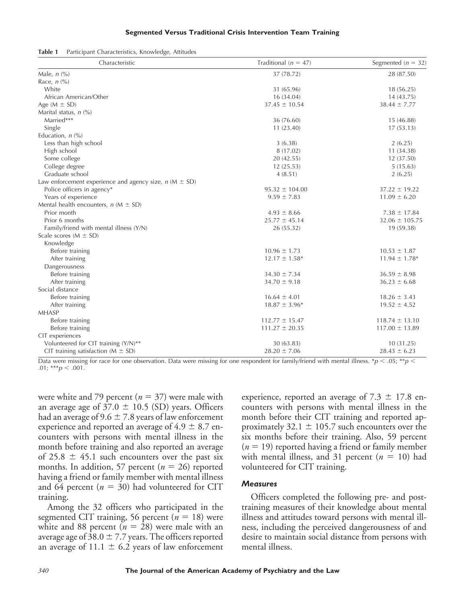#### **Segmented Versus Traditional Crisis Intervention Team Training**

| Table 1 |  | Participant Characteristics, Knowledge, Attitudes |  |  |
|---------|--|---------------------------------------------------|--|--|
|---------|--|---------------------------------------------------|--|--|

| Characteristic                                                 | Traditional ( $n = 47$ ) | Segmented ( $n = 32$ )        |
|----------------------------------------------------------------|--------------------------|-------------------------------|
| Male, $n$ (%)                                                  | 37 (78.72)               | 28 (87.50)                    |
| Race, $n$ (%)                                                  |                          |                               |
| White                                                          | 31 (65.96)               | 18(56.25)                     |
| African American/Other                                         | 16 (34.04)               | 14(43.75)                     |
| Age $(M \pm SD)$                                               | $37.45 \pm 10.54$        | $38.44 \pm 7.77$              |
| Marital status, $n$ (%)                                        |                          |                               |
| Married***                                                     | 36 (76.60)               | 15 (46.88)                    |
| Single                                                         | 11 (23.40)               | 17(53.13)                     |
| Education, $n$ (%)                                             |                          |                               |
| Less than high school                                          | 3(6.38)                  | 2(6.25)                       |
| High school                                                    | 8 (17.02)                | 11(34.38)                     |
| Some college                                                   | 20 (42.55)               | 12 (37.50)                    |
| College degree                                                 | 12(25.53)                | 5(15.63)                      |
| Graduate school                                                | 4(8.51)                  | 2(6.25)                       |
| Law enforcement experience and agency size, $n$ ( $M \pm SD$ ) |                          |                               |
| Police officers in agency*                                     | $95.32 \pm 104.00$       | $37.22 \pm 19.22$             |
| Years of experience                                            | $9.59 \pm 7.83$          | $11.09 \pm 6.20$              |
| Mental health encounters, $n (M \pm SD)$                       |                          |                               |
| Prior month                                                    | $4.93 \pm 8.66$          | $7.38 \pm 17.84$              |
| Prior 6 months                                                 | $25.77 \pm 45.14$        | $32.06 \pm 105.75$            |
| Family/friend with mental illness (Y/N)                        | 26 (55.32)               | 19 (59.38)                    |
| Scale scores ( $M \pm SD$ )                                    |                          |                               |
| Knowledge                                                      |                          |                               |
| Before training                                                | $10.96 \pm 1.73$         | $10.53 \pm 1.87$              |
| After training                                                 | $12.17 \pm 1.58^*$       | $11.94 \pm 1.78$ <sup>*</sup> |
| Dangerousness                                                  |                          |                               |
| Before training                                                | $34.30 \pm 7.34$         | $36.59 \pm 8.98$              |
| After training                                                 | $34.70 \pm 9.18$         | $36.23 \pm 6.68$              |
| Social distance                                                |                          |                               |
| Before training                                                | $16.64 \pm 4.01$         | $18.26 \pm 3.43$              |
| After training                                                 | $18.87 \pm 3.96*$        | $19.52 \pm 4.52$              |
| <b>MHASP</b>                                                   |                          |                               |
| Before training                                                | $112.77 \pm 15.47$       | $118.74 \pm 13.10$            |
| Before training                                                | $111.27 \pm 20.35$       | $117.00 \pm 13.89$            |
| CIT experiences                                                |                          |                               |
| Volunteered for CIT training (Y/N)**                           | 30 (63.83)               | 10(31.25)                     |
| CIT training satisfaction ( $M \pm SD$ )                       | $28.20 \pm 7.06$         | $28.43 \pm 6.23$              |

Data were missing for race for one observation. Data were missing for one respondent for family/friend with mental illness.  $*p < .05; **p <$ .01; \*\*\**p* < .001.

were white and 79 percent  $(n = 37)$  were male with an average age of  $37.0 \pm 10.5$  (SD) years. Officers had an average of  $9.6 \pm 7.8$  years of law enforcement experience and reported an average of  $4.9 \pm 8.7$  encounters with persons with mental illness in the month before training and also reported an average of 25.8  $\pm$  45.1 such encounters over the past six months. In addition, 57 percent ( $n = 26$ ) reported having a friend or family member with mental illness and 64 percent ( $n = 30$ ) had volunteered for CIT training.

Among the 32 officers who participated in the segmented CIT training, 56 percent ( $n = 18$ ) were white and 88 percent  $(n = 28)$  were male with an average age of 38.0  $\pm$  7.7 years. The officers reported an average of 11.1  $\pm$  6.2 years of law enforcement experience, reported an average of  $7.3 \pm 17.8$  encounters with persons with mental illness in the month before their CIT training and reported approximately 32.1  $\pm$  105.7 such encounters over the six months before their training. Also, 59 percent  $(n = 19)$  reported having a friend or family member with mental illness, and 31 percent  $(n = 10)$  had volunteered for CIT training.

#### *Measures*

Officers completed the following pre- and posttraining measures of their knowledge about mental illness and attitudes toward persons with mental illness, including the perceived dangerousness of and desire to maintain social distance from persons with mental illness.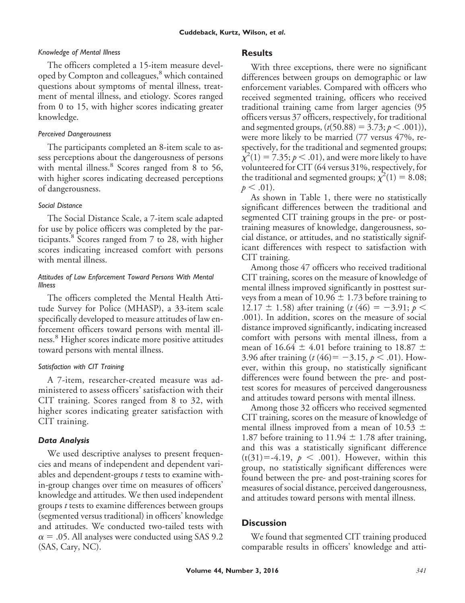#### *Knowledge of Mental Illness*

The officers completed a 15-item measure developed by Compton and colleagues,<sup>8</sup> which contained questions about symptoms of mental illness, treatment of mental illness, and etiology. Scores ranged from 0 to 15, with higher scores indicating greater knowledge.

#### *Perceived Dangerousness*

The participants completed an 8-item scale to assess perceptions about the dangerousness of persons with mental illness.<sup>8</sup> Scores ranged from 8 to 56, with higher scores indicating decreased perceptions of dangerousness.

## *Social Distance*

The Social Distance Scale, a 7-item scale adapted for use by police officers was completed by the participants.<sup>8</sup> Scores ranged from 7 to 28, with higher scores indicating increased comfort with persons with mental illness.

#### *Attitudes of Law Enforcement Toward Persons With Mental Illness*

The officers completed the Mental Health Attitude Survey for Police (MHASP), a 33-item scale specifically developed to measure attitudes of law enforcement officers toward persons with mental illness.<sup>8</sup> Higher scores indicate more positive attitudes toward persons with mental illness.

### *Satisfaction with CIT Training*

A 7-item, researcher-created measure was administered to assess officers' satisfaction with their CIT training. Scores ranged from 8 to 32, with higher scores indicating greater satisfaction with CIT training.

## *Data Analysis*

We used descriptive analyses to present frequencies and means of independent and dependent variables and dependent-groups *t* tests to examine within-group changes over time on measures of officers' knowledge and attitudes. We then used independent groups *t* tests to examine differences between groups (segmented versus traditional) in officers' knowledge and attitudes. We conducted two-tailed tests with  $\alpha = .05$ . All analyses were conducted using SAS 9.2 (SAS, Cary, NC).

### **Results**

With three exceptions, there were no significant differences between groups on demographic or law enforcement variables. Compared with officers who received segmented training, officers who received traditional training came from larger agencies (95 officers versus 37 officers, respectively, for traditional and segmented groups,  $(t(50.88) = 3.73; p < .001)$ ), were more likely to be married (77 versus 47%, respectively, for the traditional and segmented groups;  $\chi^2(1) = 7.35; p < .01$ ), and were more likely to have volunteered for CIT (64 versus 31%, respectively, for the traditional and segmented groups;  $\chi^2(1) = 8.08$ ;  $p < .01$ ).

As shown in Table 1, there were no statistically significant differences between the traditional and segmented CIT training groups in the pre- or posttraining measures of knowledge, dangerousness, social distance, or attitudes, and no statistically significant differences with respect to satisfaction with CIT training.

Among those 47 officers who received traditional CIT training, scores on the measure of knowledge of mental illness improved significantly in posttest surveys from a mean of  $10.96 \pm 1.73$  before training to 12.17  $\pm$  1.58) after training (*t* (46) = -3.91; *p* < .001). In addition, scores on the measure of social distance improved significantly, indicating increased comfort with persons with mental illness, from a mean of 16.64  $\pm$  4.01 before training to 18.87  $\pm$ 3.96 after training  $(t (46) = -3.15, p < .01)$ . However, within this group, no statistically significant differences were found between the pre- and posttest scores for measures of perceived dangerousness and attitudes toward persons with mental illness.

Among those 32 officers who received segmented CIT training, scores on the measure of knowledge of mental illness improved from a mean of 10.53  $\pm$ 1.87 before training to  $11.94 \pm 1.78$  after training, and this was a statistically significant difference  $(t(31)= -4.19, p < .001)$ . However, within this group, no statistically significant differences were found between the pre- and post-training scores for measures of social distance, perceived dangerousness, and attitudes toward persons with mental illness.

## **Discussion**

We found that segmented CIT training produced comparable results in officers' knowledge and atti-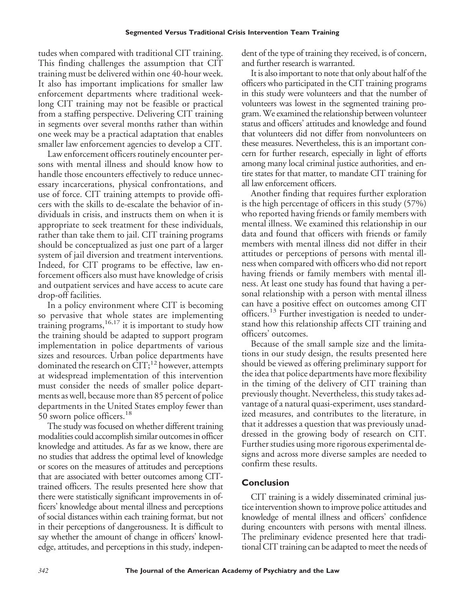tudes when compared with traditional CIT training. This finding challenges the assumption that CIT training must be delivered within one 40-hour week. It also has important implications for smaller law enforcement departments where traditional weeklong CIT training may not be feasible or practical from a staffing perspective. Delivering CIT training in segments over several months rather than within one week may be a practical adaptation that enables smaller law enforcement agencies to develop a CIT.

Law enforcement officers routinely encounter persons with mental illness and should know how to handle those encounters effectively to reduce unnecessary incarcerations, physical confrontations, and use of force. CIT training attempts to provide officers with the skills to de-escalate the behavior of individuals in crisis, and instructs them on when it is appropriate to seek treatment for these individuals, rather than take them to jail. CIT training programs should be conceptualized as just one part of a larger system of jail diversion and treatment interventions. Indeed, for CIT programs to be effective, law enforcement officers also must have knowledge of crisis and outpatient services and have access to acute care drop-off facilities.

In a policy environment where CIT is becoming so pervasive that whole states are implementing training programs,  $^{16,17}$  it is important to study how the training should be adapted to support program implementation in police departments of various sizes and resources. Urban police departments have dominated the research on  $\dot{\text{CIT}}$ ;<sup>12</sup> however, attempts at widespread implementation of this intervention must consider the needs of smaller police departments as well, because more than 85 percent of police departments in the United States employ fewer than 50 sworn police officers.<sup>18</sup>

The study was focused on whether different training modalities could accomplish similar outcomes in officer knowledge and attitudes. As far as we know, there are no studies that address the optimal level of knowledge or scores on the measures of attitudes and perceptions that are associated with better outcomes among CITtrained officers. The results presented here show that there were statistically significant improvements in officers' knowledge about mental illness and perceptions of social distances within each training format, but not in their perceptions of dangerousness. It is difficult to say whether the amount of change in officers' knowledge, attitudes, and perceptions in this study, independent of the type of training they received, is of concern, and further research is warranted.

It is also important to note that only about half of the officers who participated in the CIT training programs in this study were volunteers and that the number of volunteers was lowest in the segmented training program.We examined the relationship between volunteer status and officers' attitudes and knowledge and found that volunteers did not differ from nonvolunteers on these measures. Nevertheless, this is an important concern for further research, especially in light of efforts among many local criminal justice authorities, and entire states for that matter, to mandate CIT training for all law enforcement officers.

Another finding that requires further exploration is the high percentage of officers in this study (57%) who reported having friends or family members with mental illness. We examined this relationship in our data and found that officers with friends or family members with mental illness did not differ in their attitudes or perceptions of persons with mental illness when compared with officers who did not report having friends or family members with mental illness. At least one study has found that having a personal relationship with a person with mental illness can have a positive effect on outcomes among CIT officers.<sup>13</sup> Further investigation is needed to understand how this relationship affects CIT training and officers' outcomes.

Because of the small sample size and the limitations in our study design, the results presented here should be viewed as offering preliminary support for the idea that police departments have more flexibility in the timing of the delivery of CIT training than previously thought. Nevertheless, this study takes advantage of a natural quasi-experiment, uses standardized measures, and contributes to the literature, in that it addresses a question that was previously unaddressed in the growing body of research on CIT. Further studies using more rigorous experimental designs and across more diverse samples are needed to confirm these results.

# **Conclusion**

CIT training is a widely disseminated criminal justice intervention shown to improve police attitudes and knowledge of mental illness and officers' confidence during encounters with persons with mental illness. The preliminary evidence presented here that traditional CIT training can be adapted to meet the needs of